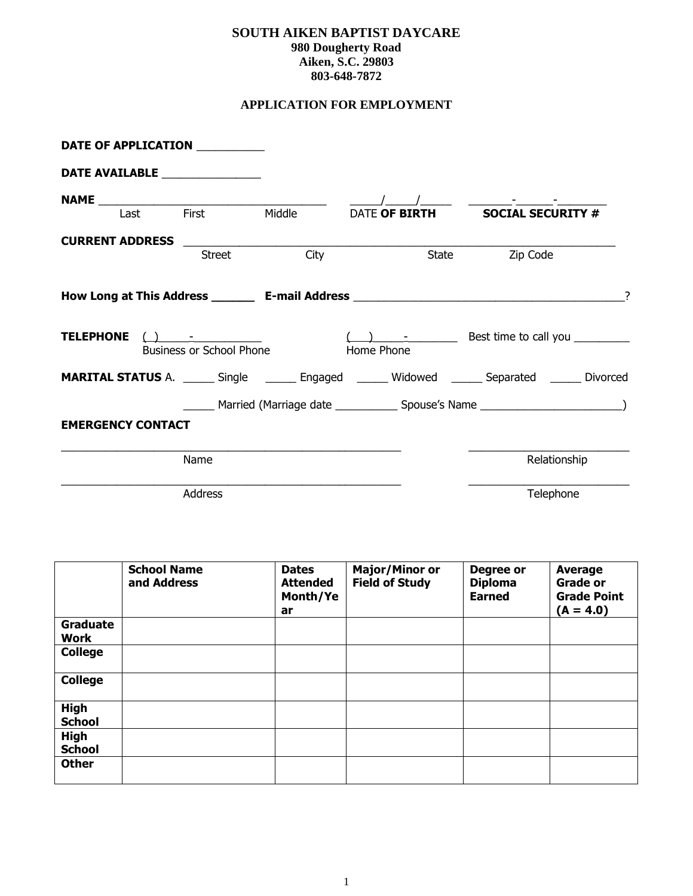### **SOUTH AIKEN BAPTIST DAYCARE 980 Dougherty Road Aiken, S.C. 29803 803-648-7872**

# **APPLICATION FOR EMPLOYMENT**

|                          | DATE OF APPLICATION __________  |                                                                                                                                                                                                                                                                                                                                                                                                                                                                                                                                                                            |                              |                                                                                                        |  |
|--------------------------|---------------------------------|----------------------------------------------------------------------------------------------------------------------------------------------------------------------------------------------------------------------------------------------------------------------------------------------------------------------------------------------------------------------------------------------------------------------------------------------------------------------------------------------------------------------------------------------------------------------------|------------------------------|--------------------------------------------------------------------------------------------------------|--|
|                          | DATE AVAILABLE ________________ |                                                                                                                                                                                                                                                                                                                                                                                                                                                                                                                                                                            |                              |                                                                                                        |  |
|                          |                                 |                                                                                                                                                                                                                                                                                                                                                                                                                                                                                                                                                                            |                              |                                                                                                        |  |
|                          |                                 | <b>NAME</b><br>Last First Middle                                                                                                                                                                                                                                                                                                                                                                                                                                                                                                                                           |                              | DATE OF BIRTH SOCIAL SECURITY #                                                                        |  |
| <b>CURRENT ADDRESS</b>   |                                 |                                                                                                                                                                                                                                                                                                                                                                                                                                                                                                                                                                            |                              |                                                                                                        |  |
|                          | <b>Street</b>                   | City                                                                                                                                                                                                                                                                                                                                                                                                                                                                                                                                                                       | State                        | Zip Code                                                                                               |  |
|                          |                                 |                                                                                                                                                                                                                                                                                                                                                                                                                                                                                                                                                                            |                              | How Long at This Address ___________ E-mail Address _____________________________                      |  |
| <b>TELEPHONE</b>         | <b>Business or School Phone</b> | $\left(\begin{array}{ccc}\end{array}\right)$ $\left(\begin{array}{ccc}\end{array}\right)$ $\left(\begin{array}{ccc}\end{array}\right)$ $\left(\begin{array}{ccc}\end{array}\right)$ $\left(\begin{array}{ccc}\end{array}\right)$ $\left(\begin{array}{ccc}\end{array}\right)$ $\left(\begin{array}{ccc}\end{array}\right)$ $\left(\begin{array}{ccc}\end{array}\right)$ $\left(\begin{array}{ccc}\end{array}\right)$ $\left(\begin{array}{ccc}\end{array}\right)$ $\left(\begin{array}{ccc}\end{array}\right)$ $\left(\begin{array}{ccc}\end{array}\right)$ $\left(\begin$ | <b>Example 21 Home Phone</b> | $(\_\_\_\_\_\_\_\_\_\_$                                                                                |  |
|                          |                                 |                                                                                                                                                                                                                                                                                                                                                                                                                                                                                                                                                                            |                              | <b>MARITAL STATUS</b> A. ______ Single _______ Engaged ______ Widowed ______ Separated ______ Divorced |  |
|                          |                                 |                                                                                                                                                                                                                                                                                                                                                                                                                                                                                                                                                                            |                              |                                                                                                        |  |
| <b>EMERGENCY CONTACT</b> |                                 |                                                                                                                                                                                                                                                                                                                                                                                                                                                                                                                                                                            |                              |                                                                                                        |  |
|                          | Name                            |                                                                                                                                                                                                                                                                                                                                                                                                                                                                                                                                                                            |                              | Relationship                                                                                           |  |
|                          | <b>Address</b>                  |                                                                                                                                                                                                                                                                                                                                                                                                                                                                                                                                                                            |                              | Telephone                                                                                              |  |

|                                | <b>School Name</b><br>and Address | <b>Dates</b><br><b>Attended</b><br>Month/Ye<br>ar | <b>Major/Minor or</b><br><b>Field of Study</b> | Degree or<br><b>Diploma</b><br><b>Earned</b> | Average<br><b>Grade or</b><br><b>Grade Point</b><br>$(A = 4.0)$ |
|--------------------------------|-----------------------------------|---------------------------------------------------|------------------------------------------------|----------------------------------------------|-----------------------------------------------------------------|
| <b>Graduate</b><br><b>Work</b> |                                   |                                                   |                                                |                                              |                                                                 |
| <b>College</b>                 |                                   |                                                   |                                                |                                              |                                                                 |
| <b>College</b>                 |                                   |                                                   |                                                |                                              |                                                                 |
| <b>High</b><br><b>School</b>   |                                   |                                                   |                                                |                                              |                                                                 |
| <b>High</b><br><b>School</b>   |                                   |                                                   |                                                |                                              |                                                                 |
| <b>Other</b>                   |                                   |                                                   |                                                |                                              |                                                                 |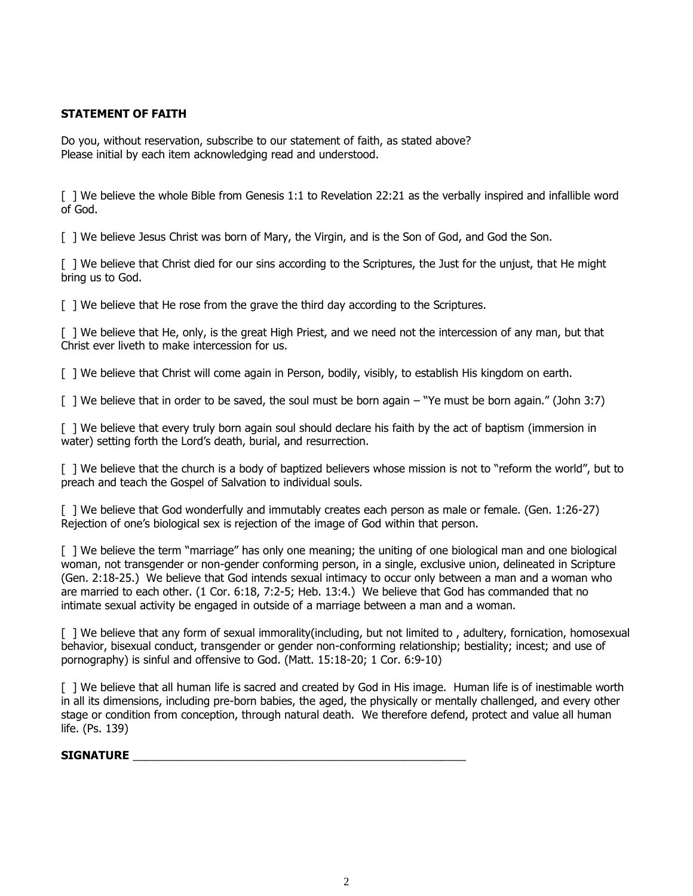### **STATEMENT OF FAITH**

Do you, without reservation, subscribe to our statement of faith, as stated above? Please initial by each item acknowledging read and understood.

[ ] We believe the whole Bible from Genesis 1:1 to Revelation 22:21 as the verbally inspired and infallible word of God.

[ ] We believe Jesus Christ was born of Mary, the Virgin, and is the Son of God, and God the Son.

[ ] We believe that Christ died for our sins according to the Scriptures, the Just for the unjust, that He might bring us to God.

[ ] We believe that He rose from the grave the third day according to the Scriptures.

[ ] We believe that He, only, is the great High Priest, and we need not the intercession of any man, but that Christ ever liveth to make intercession for us.

[ ] We believe that Christ will come again in Person, bodily, visibly, to establish His kingdom on earth.

[ ] We believe that in order to be saved, the soul must be born again – "Ye must be born again." (John 3:7)

[ ] We believe that every truly born again soul should declare his faith by the act of baptism (immersion in water) setting forth the Lord's death, burial, and resurrection.

[ ] We believe that the church is a body of baptized believers whose mission is not to "reform the world", but to preach and teach the Gospel of Salvation to individual souls.

[ ] We believe that God wonderfully and immutably creates each person as male or female. (Gen. 1:26-27) Rejection of one's biological sex is rejection of the image of God within that person.

[ ] We believe the term "marriage" has only one meaning; the uniting of one biological man and one biological woman, not transgender or non-gender conforming person, in a single, exclusive union, delineated in Scripture (Gen. 2:18-25.) We believe that God intends sexual intimacy to occur only between a man and a woman who are married to each other. (1 Cor. 6:18, 7:2-5; Heb. 13:4.) We believe that God has commanded that no intimate sexual activity be engaged in outside of a marriage between a man and a woman.

[ ] We believe that any form of sexual immorality(including, but not limited to , adultery, fornication, homosexual behavior, bisexual conduct, transgender or gender non-conforming relationship; bestiality; incest; and use of pornography) is sinful and offensive to God. (Matt. 15:18-20; 1 Cor. 6:9-10)

[ ] We believe that all human life is sacred and created by God in His image. Human life is of inestimable worth in all its dimensions, including pre-born babies, the aged, the physically or mentally challenged, and every other stage or condition from conception, through natural death. We therefore defend, protect and value all human life. (Ps. 139)

#### **SIGNATURE** \_\_\_\_\_\_\_\_\_\_\_\_\_\_\_\_\_\_\_\_\_\_\_\_\_\_\_\_\_\_\_\_\_\_\_\_\_\_\_\_\_\_\_\_\_\_\_\_\_\_\_\_\_\_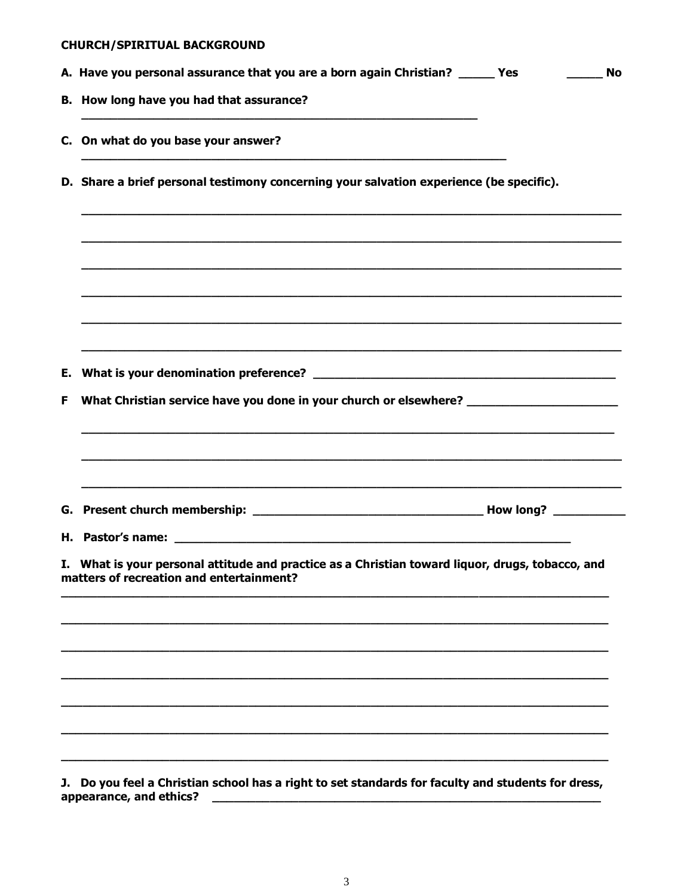|    | <b>CHURCH/SPIRITUAL BACKGROUND</b>                                                                                                           |           |
|----|----------------------------------------------------------------------------------------------------------------------------------------------|-----------|
|    | A. Have you personal assurance that you are a born again Christian? _____ Yes                                                                | <b>No</b> |
|    | B. How long have you had that assurance?                                                                                                     |           |
|    | C. On what do you base your answer?                                                                                                          |           |
|    | D. Share a brief personal testimony concerning your salvation experience (be specific).                                                      |           |
|    |                                                                                                                                              |           |
|    |                                                                                                                                              |           |
| Е. | <u> 1989 - Johann Stoff, amerikansk politiker (d. 1989)</u>                                                                                  |           |
| F  | What Christian service have you done in your church or elsewhere? _______________                                                            |           |
|    |                                                                                                                                              |           |
|    | H. Pastor's name:                                                                                                                            |           |
|    | I. What is your personal attitude and practice as a Christian toward liquor, drugs, tobacco, and<br>matters of recreation and entertainment? |           |
|    |                                                                                                                                              |           |
|    |                                                                                                                                              |           |
|    |                                                                                                                                              |           |
| J. | Do you feel a Christian school has a right to set standards for faculty and students for dress,<br>appearance, and ethics?                   |           |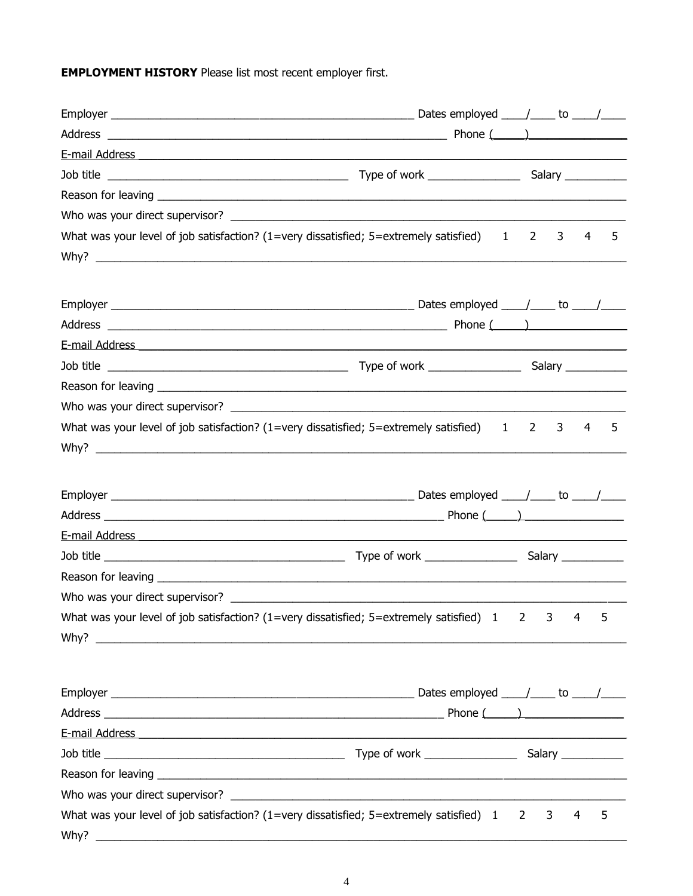**EMPLOYMENT HISTORY** Please list most recent employer first.

| What was your level of job satisfaction? $(1 = \text{very dissatisfied} ; 5 = \text{extremely satisfied}) \qquad 1 \qquad 2$<br>3<br>4<br>5<br>What was your level of job satisfaction? (1=very dissatisfied; 5=extremely satisfied) 1 2<br>3<br>4<br>5<br>What was your level of job satisfaction? (1=very dissatisfied; 5=extremely satisfied) 1<br>$\overline{\phantom{a}}$<br>3<br>4<br>5<br>What was your level of job satisfaction? $(1=$ very dissatisfied; $5=$ extremely satisfied) $1 \ 2$<br>5<br>3<br>4<br><u> 1989 - Johann Harry Harry Harry Harry Harry Harry Harry Harry Harry Harry Harry Harry Harry Harry Harry Harry</u> |      |  |  |  |
|----------------------------------------------------------------------------------------------------------------------------------------------------------------------------------------------------------------------------------------------------------------------------------------------------------------------------------------------------------------------------------------------------------------------------------------------------------------------------------------------------------------------------------------------------------------------------------------------------------------------------------------------|------|--|--|--|
|                                                                                                                                                                                                                                                                                                                                                                                                                                                                                                                                                                                                                                              |      |  |  |  |
|                                                                                                                                                                                                                                                                                                                                                                                                                                                                                                                                                                                                                                              |      |  |  |  |
|                                                                                                                                                                                                                                                                                                                                                                                                                                                                                                                                                                                                                                              |      |  |  |  |
|                                                                                                                                                                                                                                                                                                                                                                                                                                                                                                                                                                                                                                              |      |  |  |  |
|                                                                                                                                                                                                                                                                                                                                                                                                                                                                                                                                                                                                                                              |      |  |  |  |
|                                                                                                                                                                                                                                                                                                                                                                                                                                                                                                                                                                                                                                              |      |  |  |  |
|                                                                                                                                                                                                                                                                                                                                                                                                                                                                                                                                                                                                                                              |      |  |  |  |
|                                                                                                                                                                                                                                                                                                                                                                                                                                                                                                                                                                                                                                              |      |  |  |  |
|                                                                                                                                                                                                                                                                                                                                                                                                                                                                                                                                                                                                                                              |      |  |  |  |
|                                                                                                                                                                                                                                                                                                                                                                                                                                                                                                                                                                                                                                              |      |  |  |  |
|                                                                                                                                                                                                                                                                                                                                                                                                                                                                                                                                                                                                                                              |      |  |  |  |
|                                                                                                                                                                                                                                                                                                                                                                                                                                                                                                                                                                                                                                              |      |  |  |  |
|                                                                                                                                                                                                                                                                                                                                                                                                                                                                                                                                                                                                                                              |      |  |  |  |
|                                                                                                                                                                                                                                                                                                                                                                                                                                                                                                                                                                                                                                              |      |  |  |  |
|                                                                                                                                                                                                                                                                                                                                                                                                                                                                                                                                                                                                                                              |      |  |  |  |
|                                                                                                                                                                                                                                                                                                                                                                                                                                                                                                                                                                                                                                              |      |  |  |  |
|                                                                                                                                                                                                                                                                                                                                                                                                                                                                                                                                                                                                                                              |      |  |  |  |
|                                                                                                                                                                                                                                                                                                                                                                                                                                                                                                                                                                                                                                              |      |  |  |  |
|                                                                                                                                                                                                                                                                                                                                                                                                                                                                                                                                                                                                                                              |      |  |  |  |
|                                                                                                                                                                                                                                                                                                                                                                                                                                                                                                                                                                                                                                              |      |  |  |  |
|                                                                                                                                                                                                                                                                                                                                                                                                                                                                                                                                                                                                                                              |      |  |  |  |
|                                                                                                                                                                                                                                                                                                                                                                                                                                                                                                                                                                                                                                              |      |  |  |  |
|                                                                                                                                                                                                                                                                                                                                                                                                                                                                                                                                                                                                                                              |      |  |  |  |
|                                                                                                                                                                                                                                                                                                                                                                                                                                                                                                                                                                                                                                              |      |  |  |  |
|                                                                                                                                                                                                                                                                                                                                                                                                                                                                                                                                                                                                                                              |      |  |  |  |
|                                                                                                                                                                                                                                                                                                                                                                                                                                                                                                                                                                                                                                              |      |  |  |  |
|                                                                                                                                                                                                                                                                                                                                                                                                                                                                                                                                                                                                                                              |      |  |  |  |
|                                                                                                                                                                                                                                                                                                                                                                                                                                                                                                                                                                                                                                              |      |  |  |  |
|                                                                                                                                                                                                                                                                                                                                                                                                                                                                                                                                                                                                                                              |      |  |  |  |
|                                                                                                                                                                                                                                                                                                                                                                                                                                                                                                                                                                                                                                              |      |  |  |  |
|                                                                                                                                                                                                                                                                                                                                                                                                                                                                                                                                                                                                                                              |      |  |  |  |
|                                                                                                                                                                                                                                                                                                                                                                                                                                                                                                                                                                                                                                              |      |  |  |  |
|                                                                                                                                                                                                                                                                                                                                                                                                                                                                                                                                                                                                                                              |      |  |  |  |
|                                                                                                                                                                                                                                                                                                                                                                                                                                                                                                                                                                                                                                              | Why? |  |  |  |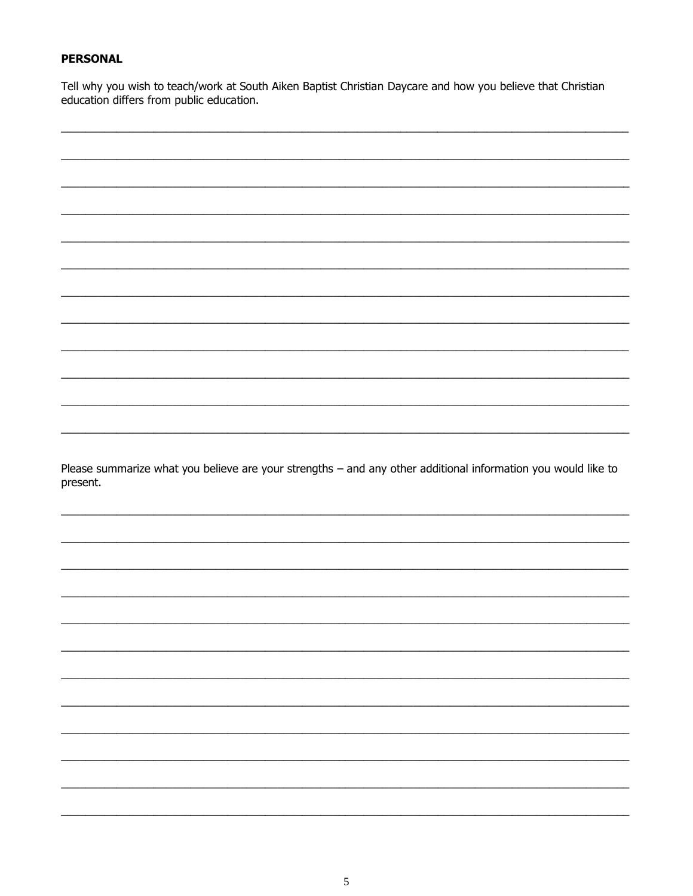### **PERSONAL**

Tell why you wish to teach/work at South Aiken Baptist Christian Daycare and how you believe that Christian education differs from public education.

Please summarize what you believe are your strengths - and any other additional information you would like to present.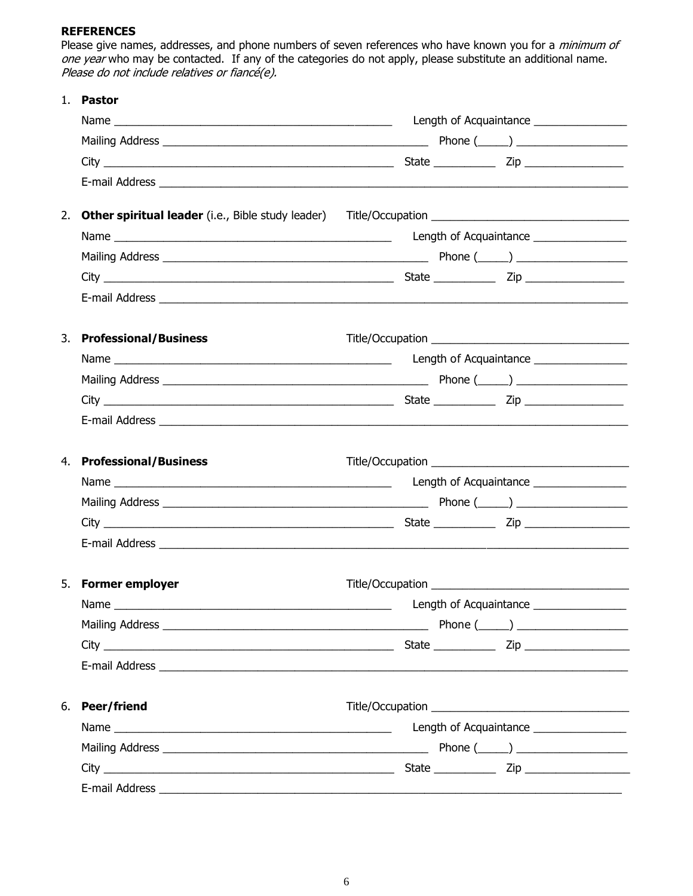### **REFERENCES**

Please give names, addresses, and phone numbers of seven references who have known you for a *minimum of* one year who may be contacted. If any of the categories do not apply, please substitute an additional name. Please do not include relatives or fiancé(e).

| 1. | <b>Pastor</b>                |                                          |
|----|------------------------------|------------------------------------------|
|    |                              | Length of Acquaintance _________________ |
|    |                              |                                          |
|    |                              |                                          |
|    |                              |                                          |
| 2. |                              |                                          |
|    |                              | Length of Acquaintance ________________  |
|    |                              |                                          |
|    |                              |                                          |
|    |                              |                                          |
| 3. | <b>Professional/Business</b> |                                          |
|    |                              | Length of Acquaintance ________________  |
|    |                              |                                          |
|    |                              |                                          |
|    |                              |                                          |
| 4. | <b>Professional/Business</b> |                                          |
|    |                              | Length of Acquaintance ________________  |
|    |                              |                                          |
|    |                              |                                          |
|    |                              |                                          |
|    | 5. Former employer           |                                          |
|    |                              | Length of Acquaintance ________________  |
|    |                              |                                          |
|    |                              |                                          |
|    |                              |                                          |
| 6. | Peer/friend                  |                                          |
|    |                              | Length of Acquaintance ________________  |
|    |                              |                                          |
|    |                              |                                          |
|    |                              |                                          |